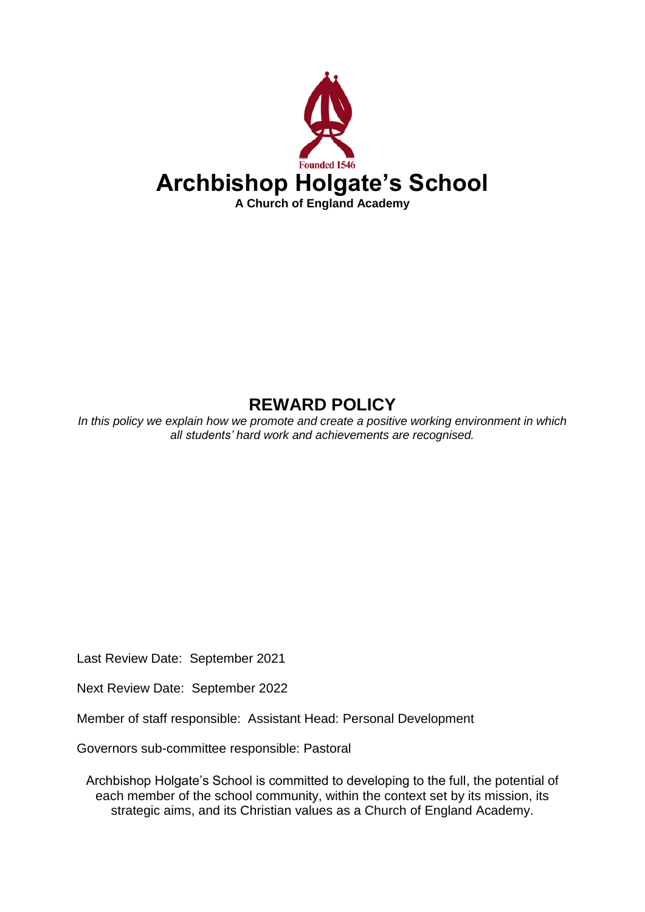

# **REWARD POLICY**

*In this policy we explain how we promote and create a positive working environment in which all students' hard work and achievements are recognised.*

Last Review Date: September 2021

Next Review Date: September 2022

Member of staff responsible: Assistant Head: Personal Development

Governors sub-committee responsible: Pastoral

Archbishop Holgate's School is committed to developing to the full, the potential of each member of the school community, within the context set by its mission, its strategic aims, and its Christian values as a Church of England Academy.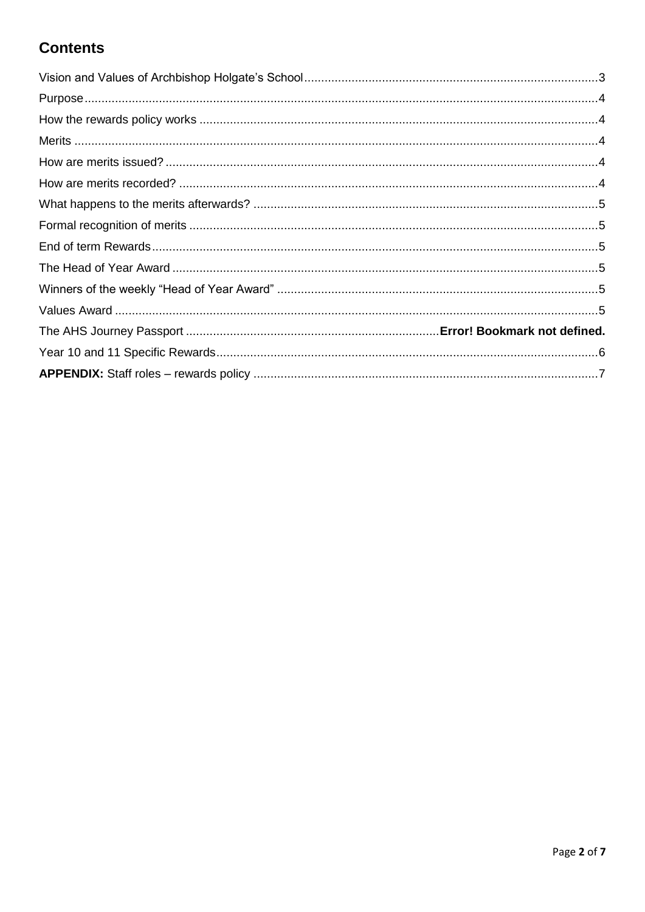# **Contents**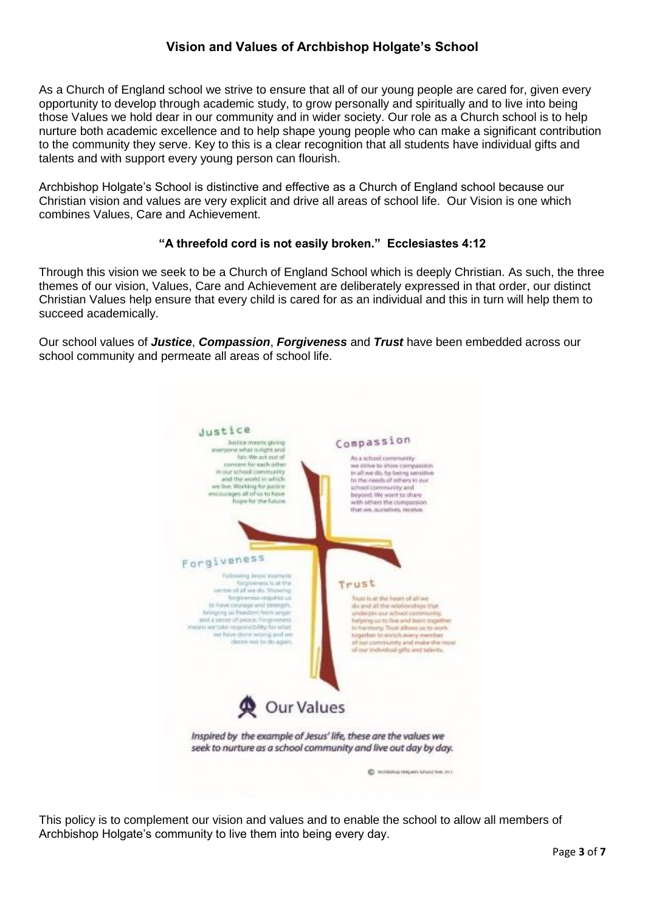# **Vision and Values of Archbishop Holgate's School**

<span id="page-2-0"></span>As a Church of England school we strive to ensure that all of our young people are cared for, given every opportunity to develop through academic study, to grow personally and spiritually and to live into being those Values we hold dear in our community and in wider society. Our role as a Church school is to help nurture both academic excellence and to help shape young people who can make a significant contribution to the community they serve. Key to this is a clear recognition that all students have individual gifts and talents and with support every young person can flourish.

Archbishop Holgate's School is distinctive and effective as a Church of England school because our Christian vision and values are very explicit and drive all areas of school life. Our Vision is one which combines Values, Care and Achievement.

## **"A threefold cord is not easily broken." Ecclesiastes 4:12**

Through this vision we seek to be a Church of England School which is deeply Christian. As such, the three themes of our vision, Values, Care and Achievement are deliberately expressed in that order, our distinct Christian Values help ensure that every child is cared for as an individual and this in turn will help them to succeed academically.

Our school values of *Justice*, *Compassion*, *Forgiveness* and *Trust* have been embedded across our school community and permeate all areas of school life.



This policy is to complement our vision and values and to enable the school to allow all members of Archbishop Holgate's community to live them into being every day.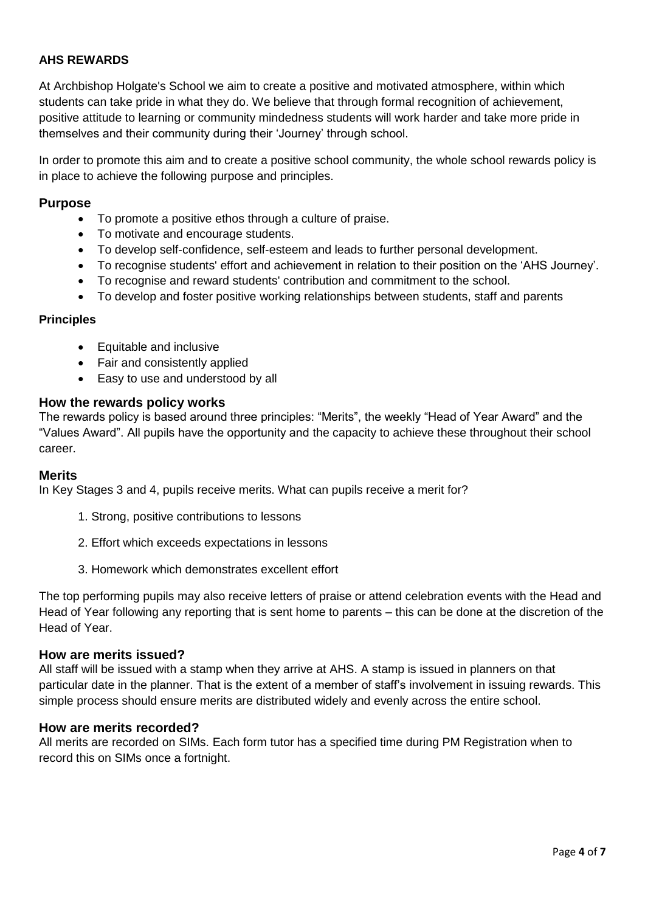## **AHS REWARDS**

At Archbishop Holgate's School we aim to create a positive and motivated atmosphere, within which students can take pride in what they do. We believe that through formal recognition of achievement, positive attitude to learning or community mindedness students will work harder and take more pride in themselves and their community during their 'Journey' through school.

In order to promote this aim and to create a positive school community, the whole school rewards policy is in place to achieve the following purpose and principles.

### <span id="page-3-0"></span>**Purpose**

- To promote a positive ethos through a culture of praise.
- To motivate and encourage students.
- To develop self-confidence, self-esteem and leads to further personal development.
- To recognise students' effort and achievement in relation to their position on the 'AHS Journey'.
- To recognise and reward students' contribution and commitment to the school.
- To develop and foster positive working relationships between students, staff and parents

#### **Principles**

- Equitable and inclusive
- Fair and consistently applied
- Easy to use and understood by all

#### <span id="page-3-1"></span>**How the rewards policy works**

The rewards policy is based around three principles: "Merits", the weekly "Head of Year Award" and the "Values Award". All pupils have the opportunity and the capacity to achieve these throughout their school career.

#### <span id="page-3-2"></span>**Merits**

In Key Stages 3 and 4, pupils receive merits. What can pupils receive a merit for?

- 1. Strong, positive contributions to lessons
- 2. Effort which exceeds expectations in lessons
- 3. Homework which demonstrates excellent effort

The top performing pupils may also receive letters of praise or attend celebration events with the Head and Head of Year following any reporting that is sent home to parents – this can be done at the discretion of the Head of Year.

#### <span id="page-3-3"></span>**How are merits issued?**

All staff will be issued with a stamp when they arrive at AHS. A stamp is issued in planners on that particular date in the planner. That is the extent of a member of staff's involvement in issuing rewards. This simple process should ensure merits are distributed widely and evenly across the entire school.

#### <span id="page-3-4"></span>**How are merits recorded?**

All merits are recorded on SIMs. Each form tutor has a specified time during PM Registration when to record this on SIMs once a fortnight.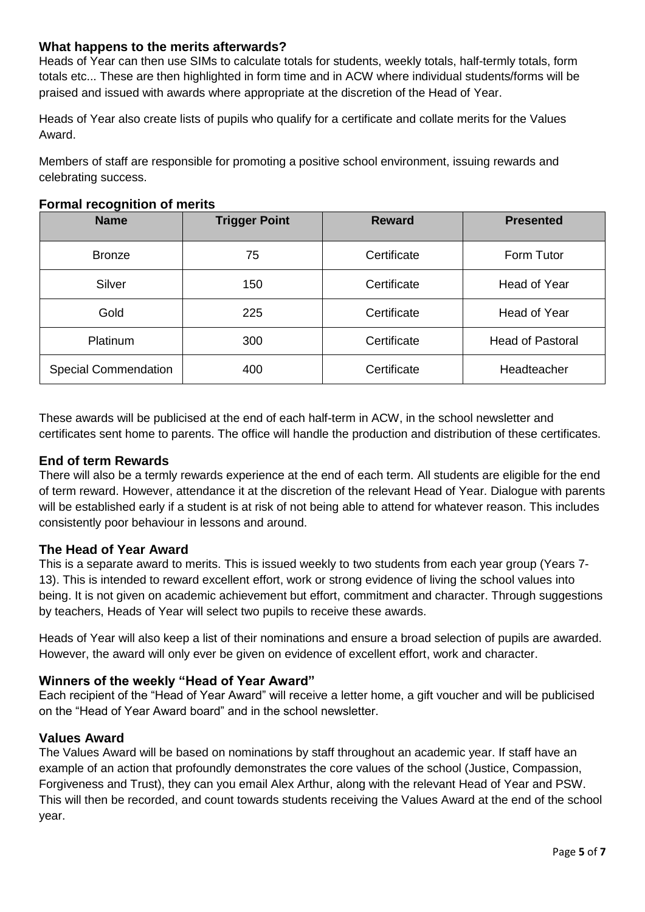# <span id="page-4-0"></span>**What happens to the merits afterwards?**

Heads of Year can then use SIMs to calculate totals for students, weekly totals, half-termly totals, form totals etc... These are then highlighted in form time and in ACW where individual students/forms will be praised and issued with awards where appropriate at the discretion of the Head of Year.

Heads of Year also create lists of pupils who qualify for a certificate and collate merits for the Values Award.

Members of staff are responsible for promoting a positive school environment, issuing rewards and celebrating success.

| <b>Name</b>                 | <b>Trigger Point</b> | <b>Reward</b> | <b>Presented</b>        |
|-----------------------------|----------------------|---------------|-------------------------|
| <b>Bronze</b>               | 75                   | Certificate   | Form Tutor              |
| Silver                      | 150                  | Certificate   | Head of Year            |
| Gold                        | 225                  | Certificate   | Head of Year            |
| Platinum                    | 300                  | Certificate   | <b>Head of Pastoral</b> |
| <b>Special Commendation</b> | 400                  | Certificate   | Headteacher             |

## <span id="page-4-1"></span>**Formal recognition of merits**

These awards will be publicised at the end of each half-term in ACW, in the school newsletter and certificates sent home to parents. The office will handle the production and distribution of these certificates.

# <span id="page-4-2"></span>**End of term Rewards**

There will also be a termly rewards experience at the end of each term. All students are eligible for the end of term reward. However, attendance it at the discretion of the relevant Head of Year. Dialogue with parents will be established early if a student is at risk of not being able to attend for whatever reason. This includes consistently poor behaviour in lessons and around.

# <span id="page-4-3"></span>**The Head of Year Award**

This is a separate award to merits. This is issued weekly to two students from each year group (Years 7- 13). This is intended to reward excellent effort, work or strong evidence of living the school values into being. It is not given on academic achievement but effort, commitment and character. Through suggestions by teachers, Heads of Year will select two pupils to receive these awards.

Heads of Year will also keep a list of their nominations and ensure a broad selection of pupils are awarded. However, the award will only ever be given on evidence of excellent effort, work and character.

# <span id="page-4-4"></span>**Winners of the weekly "Head of Year Award"**

Each recipient of the "Head of Year Award" will receive a letter home, a gift voucher and will be publicised on the "Head of Year Award board" and in the school newsletter.

## <span id="page-4-5"></span>**Values Award**

The Values Award will be based on nominations by staff throughout an academic year. If staff have an example of an action that profoundly demonstrates the core values of the school (Justice, Compassion, Forgiveness and Trust), they can you email Alex Arthur, along with the relevant Head of Year and PSW. This will then be recorded, and count towards students receiving the Values Award at the end of the school year.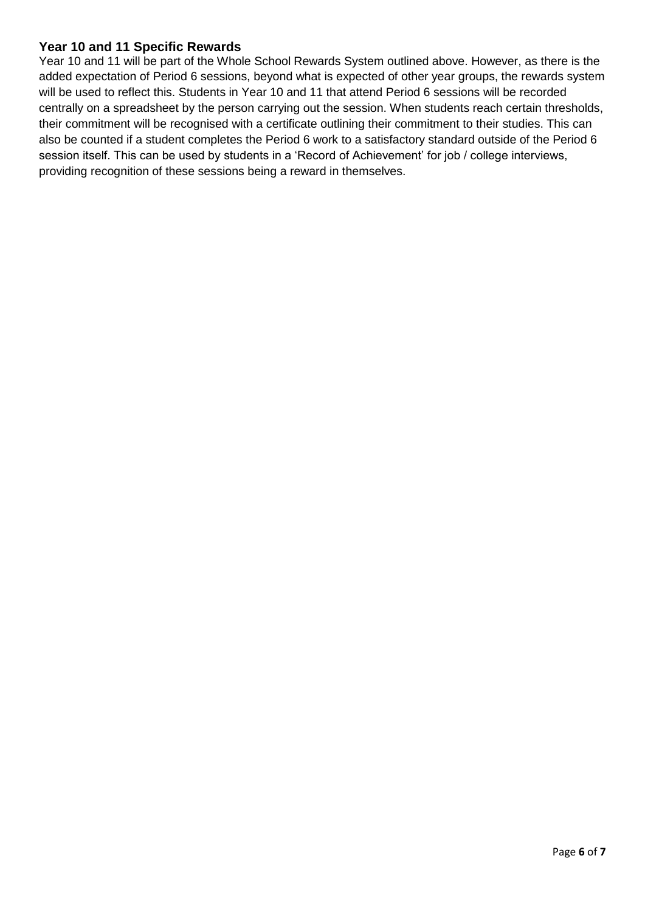# <span id="page-5-0"></span>**Year 10 and 11 Specific Rewards**

Year 10 and 11 will be part of the Whole School Rewards System outlined above. However, as there is the added expectation of Period 6 sessions, beyond what is expected of other year groups, the rewards system will be used to reflect this. Students in Year 10 and 11 that attend Period 6 sessions will be recorded centrally on a spreadsheet by the person carrying out the session. When students reach certain thresholds, their commitment will be recognised with a certificate outlining their commitment to their studies. This can also be counted if a student completes the Period 6 work to a satisfactory standard outside of the Period 6 session itself. This can be used by students in a 'Record of Achievement' for job / college interviews, providing recognition of these sessions being a reward in themselves.